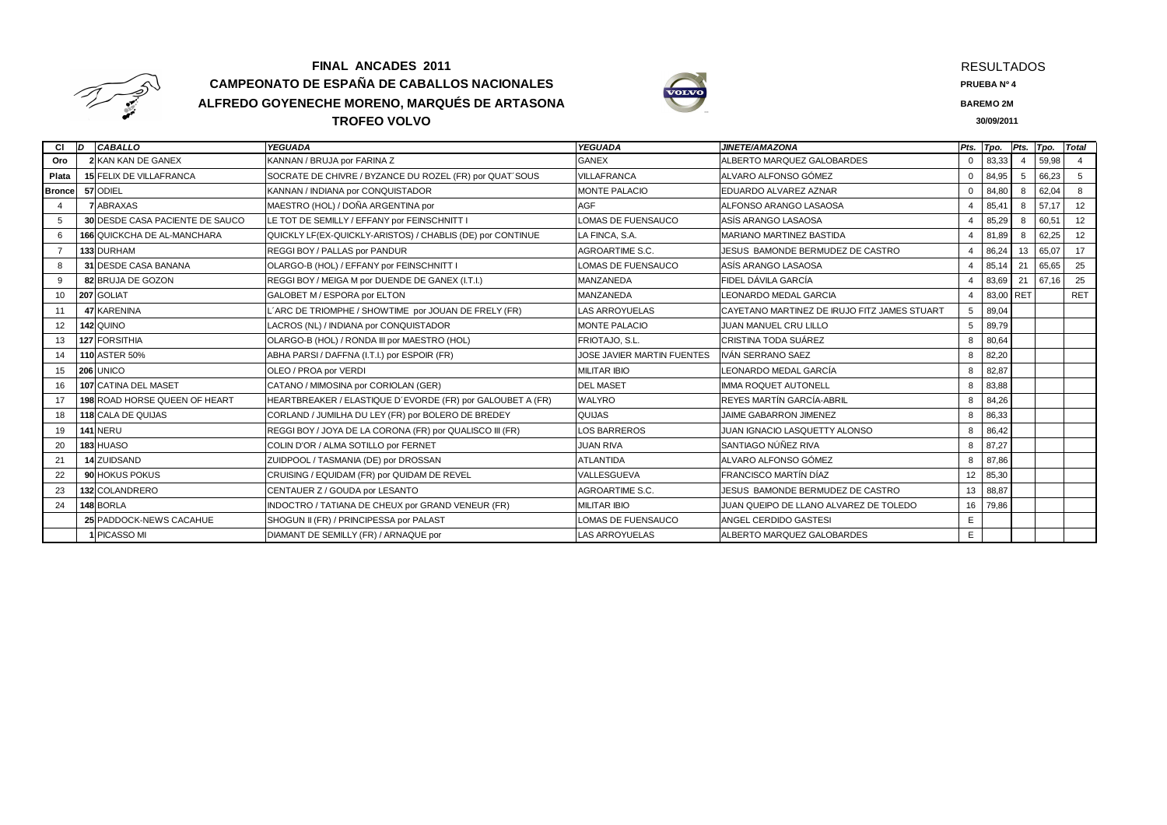

## **FINAL ANCADES 2011 CAMPEONATO DE ESPAÑA DE CABALLOS NACIONALES ALFREDO GOYENECHE MORENO, MARQUÉS DE ARTASONATROFEO VOLVO<u>O** 30/09/2011</u>



RESULTADOS

**PRUEBA Nº 4**

**BAREMO 2M**

30/09/2011

| СI             | ID. | CABALLO                                | <b>YEGUADA</b>                                             | <b>YEGUADA</b>             | <b>JINETE/AMAZONA</b>                        | Pts.            | Tpo.      |    | Pts. Tpo. | <b>Total</b> |
|----------------|-----|----------------------------------------|------------------------------------------------------------|----------------------------|----------------------------------------------|-----------------|-----------|----|-----------|--------------|
| Oro            |     | <b>2 KAN KAN DE GANEX</b>              | KANNAN / BRUJA por FARINA Z                                | <b>GANEX</b>               | ALBERTO MARQUEZ GALOBARDES                   | $\Omega$        | 83,33     |    | 59,98     |              |
| Plata          |     | <b>15 FELIX DE VILLAFRANCA</b>         | SOCRATE DE CHIVRE / BYZANCE DU ROZEL (FR) por QUAT'SOUS    | <b>VILLAFRANCA</b>         | ALVARO ALFONSO GÓMEZ                         | $\Omega$        | 84,95     |    | 66,23     | 5            |
| <b>Bronce</b>  |     | 57 ODIEL                               | KANNAN / INDIANA por CONQUISTADOR                          | <b>MONTE PALACIO</b>       | EDUARDO ALVAREZ AZNAR                        | $\Omega$        | 84,80     | 8  | 62,04     | 8            |
|                |     | <b>ABRAXAS</b>                         | MAESTRO (HOL) / DOÑA ARGENTINA por                         | <b>AGF</b>                 | ALFONSO ARANGO LASAOSA                       |                 | 85,41     | 8  | 57.17     | 12           |
| 5              |     | <b>30 DESDE CASA PACIENTE DE SAUCO</b> | LE TOT DE SEMILLY / EFFANY por FEINSCHNITT I               | OMAS DE FUENSAUCO          | ASÍS ARANGO LASAOSA                          |                 | 85,29     | 8  | 60,51     | 12           |
| 6              |     | <b>166 QUICKCHA DE AL-MANCHARA</b>     | QUICKLY LF(EX-QUICKLY-ARISTOS) / CHABLIS (DE) por CONTINUE | LA FINCA, S.A.             | <b>MARIANO MARTINEZ BASTIDA</b>              |                 | 81,89     | 8  | 62,25     | 12           |
| $\overline{7}$ |     | 133 DURHAM                             | REGGI BOY / PALLAS por PANDUR                              | AGROARTIME S.C.            | JESUS BAMONDE BERMUDEZ DE CASTRO             |                 | 86,24     | 13 | 65,07     | 17           |
| 8              |     | 31 DESDE CASA BANANA                   | OLARGO-B (HOL) / EFFANY por FEINSCHNITT I                  | LOMAS DE FUENSAUCO         | ASÍS ARANGO LASAOSA                          |                 | 85,14     | 21 | 65,65     | 25           |
| 9              |     | 82 BRUJA DE GOZON                      | REGGI BOY / MEIGA M por DUENDE DE GANEX (I.T.I.)           | MANZANEDA                  | FIDEL DÁVILA GARCÍA                          |                 | 83,69     | 21 | 67,16     | 25           |
| 10             |     | 207 GOLIAT                             | GALOBET M / ESPORA por ELTON                               | MANZANEDA                  | LEONARDO MEDAL GARCIA                        |                 | 83,00 RET |    |           | RET          |
| 11             |     | <b>47 KARENINA</b>                     | ARC DE TRIOMPHE / SHOWTIME por JOUAN DE FRELY (FR)         | <b>LAS ARROYUELAS</b>      | CAYETANO MARTINEZ DE IRUJO FITZ JAMES STUART | 5               | 89,04     |    |           |              |
| 12             |     | 142 QUINO                              | LACROS (NL) / INDIANA por CONQUISTADOR                     | <b>MONTE PALACIO</b>       | <b>JUAN MANUEL CRU LILLO</b>                 | 5               | 89,79     |    |           |              |
| 13             |     | 127 FORSITHIA                          | OLARGO-B (HOL) / RONDA III por MAESTRO (HOL)               | FRIOTAJO, S.L.             | CRISTINA TODA SUÁREZ                         | 8               | 80,64     |    |           |              |
| 14             |     | <b>110 ASTER 50%</b>                   | ABHA PARSI / DAFFNA (I.T.I.) por ESPOIR (FR)               | JOSE JAVIER MARTIN FUENTES | IVÁN SERRANO SAEZ                            | 8               | 82,20     |    |           |              |
| 15             |     | 206 UNICO                              | OLEO / PROA por VERDI                                      | <b>MILITAR IBIO</b>        | LEONARDO MEDAL GARCÍA                        | 8               | 82,87     |    |           |              |
| 16             |     | 107 CATINA DEL MASET                   | CATANO / MIMOSINA por CORIOLAN (GER)                       | <b>DEL MASET</b>           | <b>IMMA ROQUET AUTONELL</b>                  | 8               | 83,88     |    |           |              |
| 17             |     | <b>198 ROAD HORSE QUEEN OF HEART</b>   | HEARTBREAKER / ELASTIQUE D'EVORDE (FR) por GALOUBET A (FR) | <b>WALYRO</b>              | REYES MARTÍN GARCÍA-ABRIL                    | 8               | 84,26     |    |           |              |
| 18             |     | 118 CALA DE QUIJAS                     | CORLAND / JUMILHA DU LEY (FR) por BOLERO DE BREDEY         | <b>QUIJAS</b>              | JAIME GABARRON JIMENEZ                       | 8               | 86,33     |    |           |              |
| 19             |     | 141 NERU                               | REGGI BOY / JOYA DE LA CORONA (FR) por QUALISCO III (FR)   | LOS BARREROS               | JUAN IGNACIO LASQUETTY ALONSO                | 8               | 86,42     |    |           |              |
| 20             |     | 183 HUASO                              | COLIN D'OR / ALMA SOTILLO por FERNET                       | <b>JUAN RIVA</b>           | SANTIAGO NÚÑEZ RIVA                          | 8               | 87,27     |    |           |              |
| 21             |     | 14 ZUIDSAND                            | ZUIDPOOL / TASMANIA (DE) por DROSSAN                       | <b>ATLANTIDA</b>           | ALVARO ALFONSO GÓMEZ                         | 8               | 87,86     |    |           |              |
| 22             |     | 90 HOKUS POKUS                         | CRUISING / EQUIDAM (FR) por QUIDAM DE REVEL                | VALLESGUEVA                | FRANCISCO MARTÍN DÍAZ                        | 12 <sup>2</sup> | 85,30     |    |           |              |
| 23             |     | 132 COLANDRERO                         | CENTAUER Z / GOUDA por LESANTO                             | AGROARTIME S.C.            | JESUS BAMONDE BERMUDEZ DE CASTRO             | 13              | 88,87     |    |           |              |
| 24             |     | 148 BORLA                              | INDOCTRO / TATIANA DE CHEUX por GRAND VENEUR (FR)          | <b>MILITAR IBIO</b>        | JUAN QUEIPO DE LLANO ALVAREZ DE TOLEDO       | 16              | 79,86     |    |           |              |
|                |     | 25 PADDOCK-NEWS CACAHUE                | SHOGUN II (FR) / PRINCIPESSA por PALAST                    | LOMAS DE FUENSAUCO         | ANGEL CERDIDO GASTESI                        | E               |           |    |           |              |
|                |     | <b>PICASSO MI</b>                      | DIAMANT DE SEMILLY (FR) / ARNAQUE por                      | <b>LAS ARROYUELAS</b>      | ALBERTO MARQUEZ GALOBARDES                   | E.              |           |    |           |              |